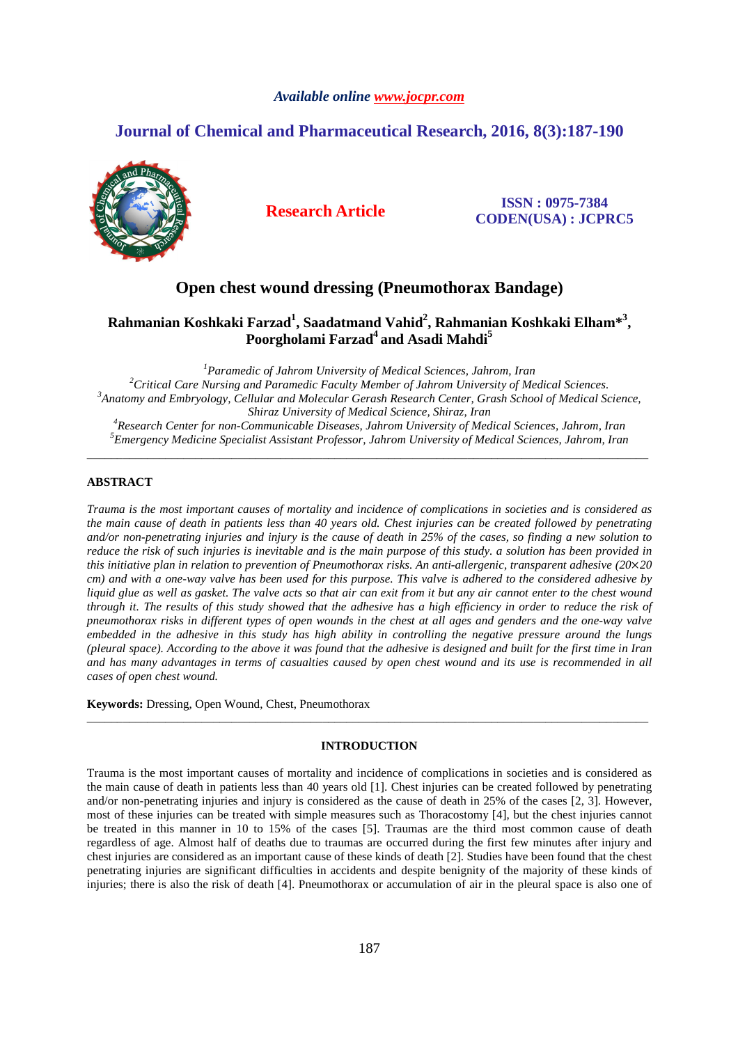### *Available online www.jocpr.com*

# **Journal of Chemical and Pharmaceutical Research, 2016, 8(3):187-190**



**Research Article ISSN : 0975-7384 CODEN(USA) : JCPRC5**

## **Open chest wound dressing (Pneumothorax Bandage)**

## **Rahmanian Koshkaki Farzad<sup>1</sup> , Saadatmand Vahid<sup>2</sup> , Rahmanian Koshkaki Elham\*<sup>3</sup> , Poorgholami Farzad<sup>4</sup>and Asadi Mahdi<sup>5</sup>**

*Paramedic of Jahrom University of Medical Sciences, Jahrom, Iran Critical Care Nursing and Paramedic Faculty Member of Jahrom University of Medical Sciences. Anatomy and Embryology, Cellular and Molecular Gerash Research Center, Grash School of Medical Science, Shiraz University of Medical Science, Shiraz, Iran Research Center for non-Communicable Diseases, Jahrom University of Medical Sciences, Jahrom, Iran Emergency Medicine Specialist Assistant Professor, Jahrom University of Medical Sciences, Jahrom, Iran*

\_\_\_\_\_\_\_\_\_\_\_\_\_\_\_\_\_\_\_\_\_\_\_\_\_\_\_\_\_\_\_\_\_\_\_\_\_\_\_\_\_\_\_\_\_\_\_\_\_\_\_\_\_\_\_\_\_\_\_\_\_\_\_\_\_\_\_\_\_\_\_\_\_\_\_\_\_\_\_\_\_\_\_\_\_\_\_\_\_\_\_\_\_

### **ABSTRACT**

*Trauma is the most important causes of mortality and incidence of complications in societies and is considered as the main cause of death in patients less than 40 years old. Chest injuries can be created followed by penetrating and/or non-penetrating injuries and injury is the cause of death in 25% of the cases, so finding a new solution to reduce the risk of such injuries is inevitable and is the main purpose of this study. a solution has been provided in this initiative plan in relation to prevention of Pneumothorax risks. An anti-allergenic, transparent adhesive (20*×*20 cm) and with a one-way valve has been used for this purpose. This valve is adhered to the considered adhesive by liquid glue as well as gasket. The valve acts so that air can exit from it but any air cannot enter to the chest wound through it. The results of this study showed that the adhesive has a high efficiency in order to reduce the risk of pneumothorax risks in different types of open wounds in the chest at all ages and genders and the one-way valve embedded in the adhesive in this study has high ability in controlling the negative pressure around the lungs (pleural space). According to the above it was found that the adhesive is designed and built for the first time in Iran and has many advantages in terms of casualties caused by open chest wound and its use is recommended in all cases of open chest wound.* 

**Keywords:** Dressing, Open Wound, Chest, Pneumothorax

### **INTRODUCTION**

\_\_\_\_\_\_\_\_\_\_\_\_\_\_\_\_\_\_\_\_\_\_\_\_\_\_\_\_\_\_\_\_\_\_\_\_\_\_\_\_\_\_\_\_\_\_\_\_\_\_\_\_\_\_\_\_\_\_\_\_\_\_\_\_\_\_\_\_\_\_\_\_\_\_\_\_\_\_\_\_\_\_\_\_\_\_\_\_\_\_\_\_\_

Trauma is the most important causes of mortality and incidence of complications in societies and is considered as the main cause of death in patients less than 40 years old [1]. Chest injuries can be created followed by penetrating and/or non-penetrating injuries and injury is considered as the cause of death in 25% of the cases [2, 3]. However, most of these injuries can be treated with simple measures such as Thoracostomy [4], but the chest injuries cannot be treated in this manner in 10 to 15% of the cases [5]. Traumas are the third most common cause of death regardless of age. Almost half of deaths due to traumas are occurred during the first few minutes after injury and chest injuries are considered as an important cause of these kinds of death [2]. Studies have been found that the chest penetrating injuries are significant difficulties in accidents and despite benignity of the majority of these kinds of injuries; there is also the risk of death [4]. Pneumothorax or accumulation of air in the pleural space is also one of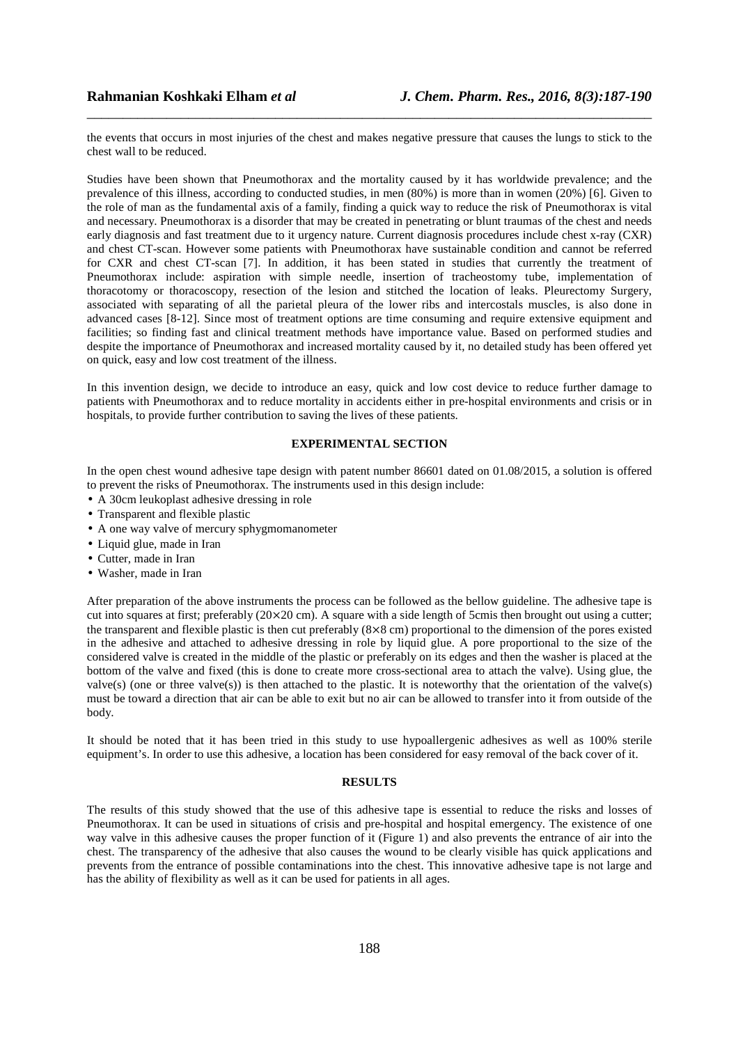the events that occurs in most injuries of the chest and makes negative pressure that causes the lungs to stick to the chest wall to be reduced.

\_\_\_\_\_\_\_\_\_\_\_\_\_\_\_\_\_\_\_\_\_\_\_\_\_\_\_\_\_\_\_\_\_\_\_\_\_\_\_\_\_\_\_\_\_\_\_\_\_\_\_\_\_\_\_\_\_\_\_\_\_\_\_\_\_\_\_\_\_\_\_\_\_\_\_\_\_\_

Studies have been shown that Pneumothorax and the mortality caused by it has worldwide prevalence; and the prevalence of this illness, according to conducted studies, in men (80%) is more than in women (20%) [6]. Given to the role of man as the fundamental axis of a family, finding a quick way to reduce the risk of Pneumothorax is vital and necessary. Pneumothorax is a disorder that may be created in penetrating or blunt traumas of the chest and needs early diagnosis and fast treatment due to it urgency nature. Current diagnosis procedures include chest x-ray (CXR) and chest CT-scan. However some patients with Pneumothorax have sustainable condition and cannot be referred for CXR and chest CT-scan [7]. In addition, it has been stated in studies that currently the treatment of Pneumothorax include: aspiration with simple needle, insertion of tracheostomy tube, implementation of thoracotomy or thoracoscopy, resection of the lesion and stitched the location of leaks. Pleurectomy Surgery, associated with separating of all the parietal pleura of the lower ribs and intercostals muscles, is also done in advanced cases [8-12]. Since most of treatment options are time consuming and require extensive equipment and facilities; so finding fast and clinical treatment methods have importance value. Based on performed studies and despite the importance of Pneumothorax and increased mortality caused by it, no detailed study has been offered yet on quick, easy and low cost treatment of the illness.

In this invention design, we decide to introduce an easy, quick and low cost device to reduce further damage to patients with Pneumothorax and to reduce mortality in accidents either in pre-hospital environments and crisis or in hospitals, to provide further contribution to saving the lives of these patients.

#### **EXPERIMENTAL SECTION**

In the open chest wound adhesive tape design with patent number 86601 dated on 01.08/2015, a solution is offered to prevent the risks of Pneumothorax. The instruments used in this design include:

- A 30cm leukoplast adhesive dressing in role
- Transparent and flexible plastic
- A one way valve of mercury sphygmomanometer
- Liquid glue, made in Iran
- Cutter, made in Iran
- Washer, made in Iran

After preparation of the above instruments the process can be followed as the bellow guideline. The adhesive tape is cut into squares at first; preferably  $(20 \times 20 \text{ cm})$ . A square with a side length of 5cmis then brought out using a cutter; the transparent and flexible plastic is then cut preferably (8×8 cm) proportional to the dimension of the pores existed in the adhesive and attached to adhesive dressing in role by liquid glue. A pore proportional to the size of the considered valve is created in the middle of the plastic or preferably on its edges and then the washer is placed at the bottom of the valve and fixed (this is done to create more cross-sectional area to attach the valve). Using glue, the valve(s) (one or three valve(s)) is then attached to the plastic. It is noteworthy that the orientation of the valve(s) must be toward a direction that air can be able to exit but no air can be allowed to transfer into it from outside of the body.

It should be noted that it has been tried in this study to use hypoallergenic adhesives as well as 100% sterile equipment's. In order to use this adhesive, a location has been considered for easy removal of the back cover of it.

#### **RESULTS**

The results of this study showed that the use of this adhesive tape is essential to reduce the risks and losses of Pneumothorax. It can be used in situations of crisis and pre-hospital and hospital emergency. The existence of one way valve in this adhesive causes the proper function of it (Figure 1) and also prevents the entrance of air into the chest. The transparency of the adhesive that also causes the wound to be clearly visible has quick applications and prevents from the entrance of possible contaminations into the chest. This innovative adhesive tape is not large and has the ability of flexibility as well as it can be used for patients in all ages.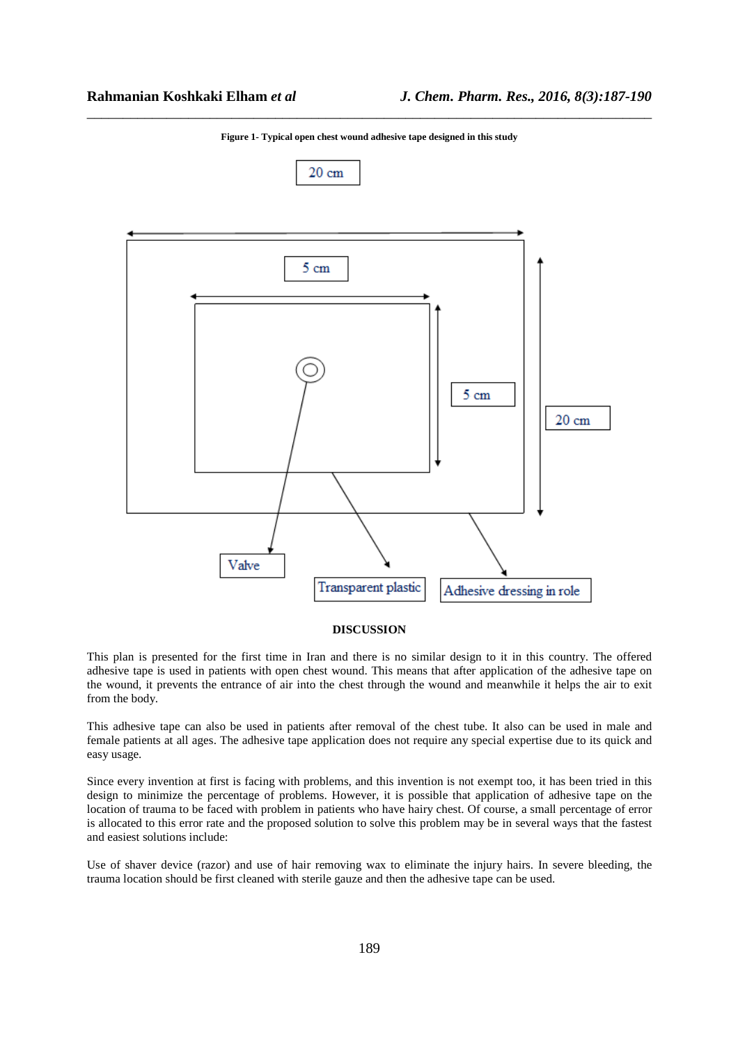

\_\_\_\_\_\_\_\_\_\_\_\_\_\_\_\_\_\_\_\_\_\_\_\_\_\_\_\_\_\_\_\_\_\_\_\_\_\_\_\_\_\_\_\_\_\_\_\_\_\_\_\_\_\_\_\_\_\_\_\_\_\_\_\_\_\_\_\_\_\_\_\_\_\_\_\_\_\_ **Figure 1- Typical open chest wound adhesive tape designed in this study** 

#### **DISCUSSION**

This plan is presented for the first time in Iran and there is no similar design to it in this country. The offered adhesive tape is used in patients with open chest wound. This means that after application of the adhesive tape on the wound, it prevents the entrance of air into the chest through the wound and meanwhile it helps the air to exit from the body.

This adhesive tape can also be used in patients after removal of the chest tube. It also can be used in male and female patients at all ages. The adhesive tape application does not require any special expertise due to its quick and easy usage.

Since every invention at first is facing with problems, and this invention is not exempt too, it has been tried in this design to minimize the percentage of problems. However, it is possible that application of adhesive tape on the location of trauma to be faced with problem in patients who have hairy chest. Of course, a small percentage of error is allocated to this error rate and the proposed solution to solve this problem may be in several ways that the fastest and easiest solutions include:

Use of shaver device (razor) and use of hair removing wax to eliminate the injury hairs. In severe bleeding, the trauma location should be first cleaned with sterile gauze and then the adhesive tape can be used.